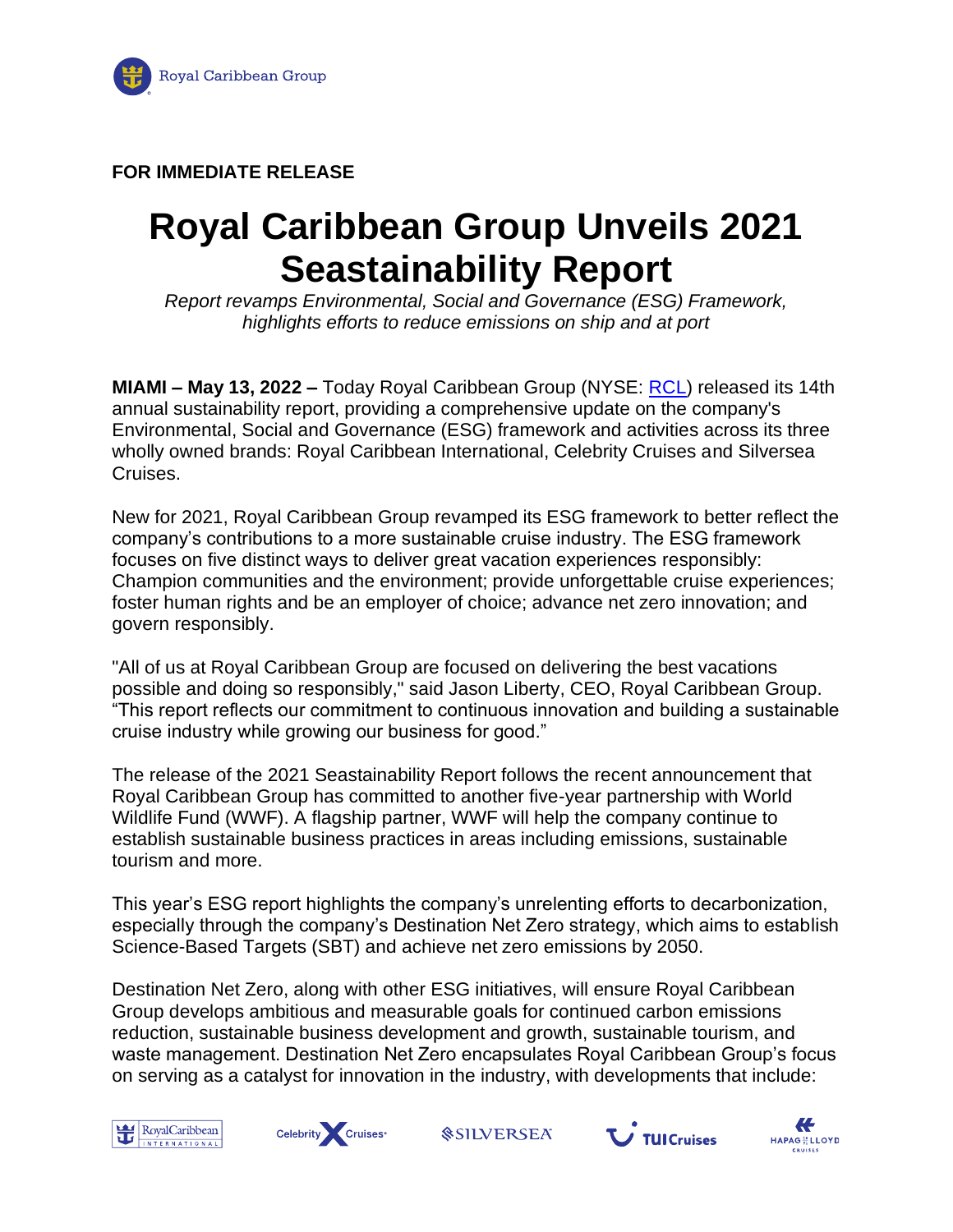

## **FOR IMMEDIATE RELEASE**

## **Royal Caribbean Group Unveils 2021 Seastainability Report**

*Report revamps Environmental, Social and Governance (ESG) Framework, highlights efforts to reduce emissions on ship and at port*

**MIAMI – May 13, 2022 –** Today Royal Caribbean Group (NYSE: [RCL\)](https://www.prnewswire.com/news-releases/royal-caribbean-group-releases-2020-seastainability-report-301382598.html#financial-modal) released its 14th annual sustainability report, providing a comprehensive update on the company's Environmental, Social and Governance (ESG) framework and activities across its three wholly owned brands: Royal Caribbean International, Celebrity Cruises and Silversea Cruises.

New for 2021, Royal Caribbean Group revamped its ESG framework to better reflect the company's contributions to a more sustainable cruise industry. The ESG framework focuses on five distinct ways to deliver great vacation experiences responsibly: Champion communities and the environment; provide unforgettable cruise experiences; foster human rights and be an employer of choice; advance net zero innovation; and govern responsibly.

"All of us at Royal Caribbean Group are focused on delivering the best vacations possible and doing so responsibly," said Jason Liberty, CEO, Royal Caribbean Group. "This report reflects our commitment to continuous innovation and building a sustainable cruise industry while growing our business for good."

The release of the 2021 Seastainability Report follows the recent announcement that Royal Caribbean Group has committed to another five-year partnership with World Wildlife Fund (WWF). A flagship partner, WWF will help the company continue to establish sustainable business practices in areas including emissions, sustainable tourism and more.

This year's ESG report highlights the company's unrelenting efforts to decarbonization, especially through the company's Destination Net Zero strategy, which aims to establish Science-Based Targets (SBT) and achieve net zero emissions by 2050.

Destination Net Zero, along with other ESG initiatives, will ensure Royal Caribbean Group develops ambitious and measurable goals for continued carbon emissions reduction, sustainable business development and growth, sustainable tourism, and waste management. Destination Net Zero encapsulates Royal Caribbean Group's focus on serving as a catalyst for innovation in the industry, with developments that include:





*<u>SSILVERSEA</u>* 



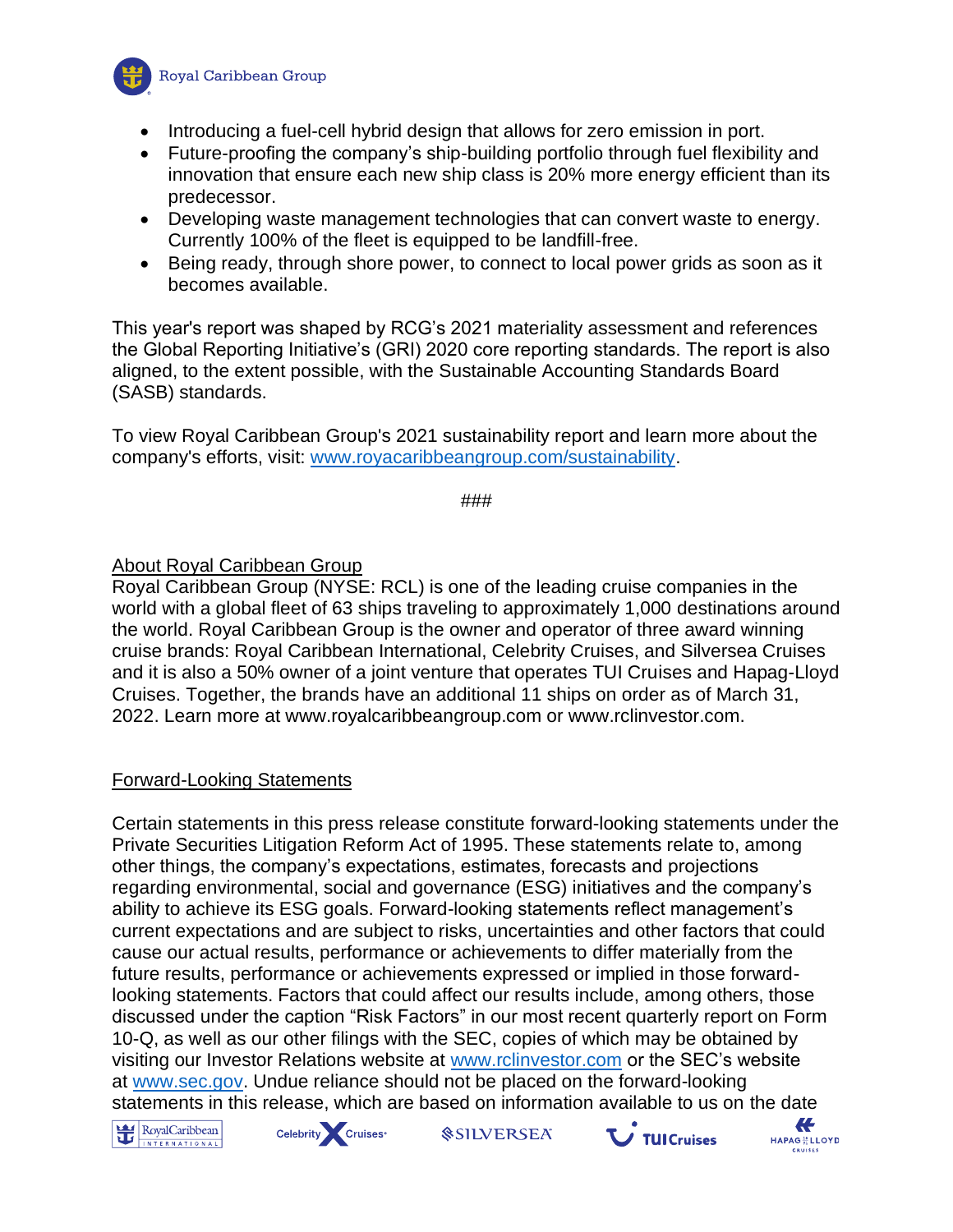

- Introducing a fuel-cell hybrid design that allows for zero emission in port.
- Future-proofing the company's ship-building portfolio through fuel flexibility and innovation that ensure each new ship class is 20% more energy efficient than its predecessor.
- Developing waste management technologies that can convert waste to energy. Currently 100% of the fleet is equipped to be landfill-free.
- Being ready, through shore power, to connect to local power grids as soon as it becomes available.

This year's report was shaped by RCG's 2021 materiality assessment and references the Global Reporting Initiative's (GRI) 2020 core reporting standards. The report is also aligned, to the extent possible, with the Sustainable Accounting Standards Board (SASB) standards.

To view Royal Caribbean Group's 2021 sustainability report and learn more about the company's efforts, visit: [www.royacaribbeangroup.com/sustainability.](http://www.royacaribbeangroup.com/sustainability)

###

## **About Royal Caribbean Group**

Royal Caribbean Group (NYSE: RCL) is one of the leading cruise companies in the world with a global fleet of 63 ships traveling to approximately 1,000 destinations around the world. Royal Caribbean Group is the owner and operator of three award winning cruise brands: Royal Caribbean International, Celebrity Cruises, and Silversea Cruises and it is also a 50% owner of a joint venture that operates TUI Cruises and Hapag-Lloyd Cruises. Together, the brands have an additional 11 ships on order as of March 31, 2022. Learn more at www.royalcaribbeangroup.com or www.rclinvestor.com.

## Forward-Looking Statements

Certain statements in this press release constitute forward-looking statements under the Private Securities Litigation Reform Act of 1995. These statements relate to, among other things, the company's expectations, estimates, forecasts and projections regarding environmental, social and governance (ESG) initiatives and the company's ability to achieve its ESG goals. Forward-looking statements reflect management's current expectations and are subject to risks, uncertainties and other factors that could cause our actual results, performance or achievements to differ materially from the future results, performance or achievements expressed or implied in those forwardlooking statements. Factors that could affect our results include, among others, those discussed under the caption "Risk Factors" in our most recent quarterly report on Form 10-Q, as well as our other filings with the SEC, copies of which may be obtained by visiting our Investor Relations website at [www.rclinvestor.com](http://www.rclinvestor.com/) or the SEC's website at [www.sec.gov.](http://www.sec.gov/) Undue reliance should not be placed on the forward-looking statements in this release, which are based on information available to us on the date  $\leftarrow$ 





*<u>SILVERSEA</u>* 



**HAPAG<sup>18</sup> LLOYD**